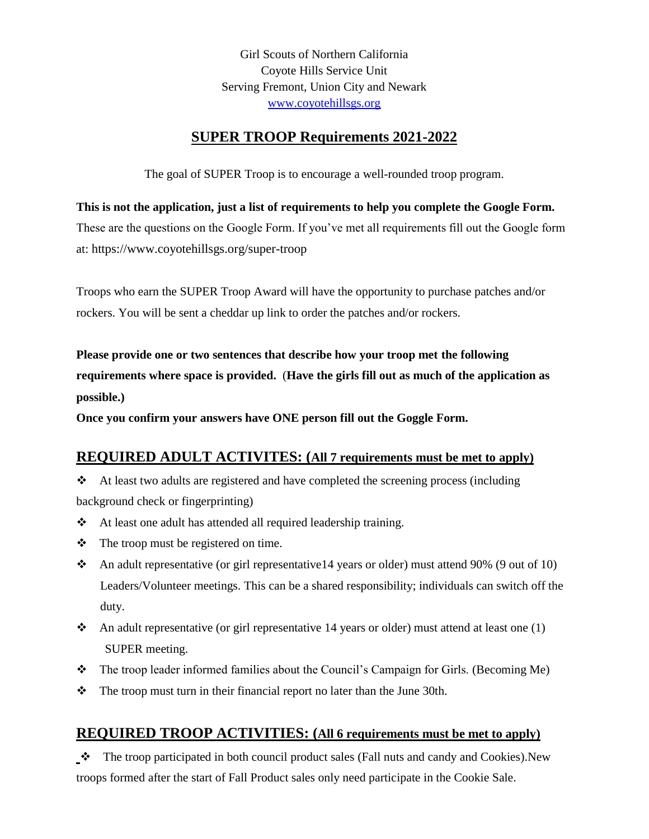Girl Scouts of Northern California Coyote Hills Service Unit Serving Fremont, Union City and Newark [www.coyotehillsgs.org](http://www.coyotehillsgs.org/)

## **SUPER TROOP Requirements 2021-2022**

The goal of SUPER Troop is to encourage a well-rounded troop program.

**This is not the application, just a list of requirements to help you complete the Google Form.**

These are the questions on the Google Form. If you've met all requirements fill out the Google form at: https://www.coyotehillsgs.org/super-troop

Troops who earn the SUPER Troop Award will have the opportunity to purchase patches and/or rockers. You will be sent a cheddar up link to order the patches and/or rockers.

**Please provide one or two sentences that describe how your troop met the following requirements where space is provided.** (**Have the girls fill out as much of the application as possible.)**

**Once you confirm your answers have ONE person fill out the Goggle Form.**

## **REQUIRED ADULT ACTIVITES: (All 7 requirements must be met to apply)**

 $\triangleleft$  At least two adults are registered and have completed the screening process (including background check or fingerprinting)

- At least one adult has attended all required leadership training.
- $\triangleleft$  The troop must be registered on time.
- An adult representative (or girl representative14 years or older) must attend 90% (9 out of 10) Leaders/Volunteer meetings. This can be a shared responsibility; individuals can switch off the duty.
- An adult representative (or girl representative 14 years or older) must attend at least one  $(1)$ SUPER meeting.
- The troop leader informed families about the Council's Campaign for Girls. (Becoming Me)
- $\div$  The troop must turn in their financial report no later than the June 30th.

## **REQUIRED TROOP ACTIVITIES: (All 6 requirements must be met to apply)**

The troop participated in both council product sales (Fall nuts and candy and Cookies).New troops formed after the start of Fall Product sales only need participate in the Cookie Sale.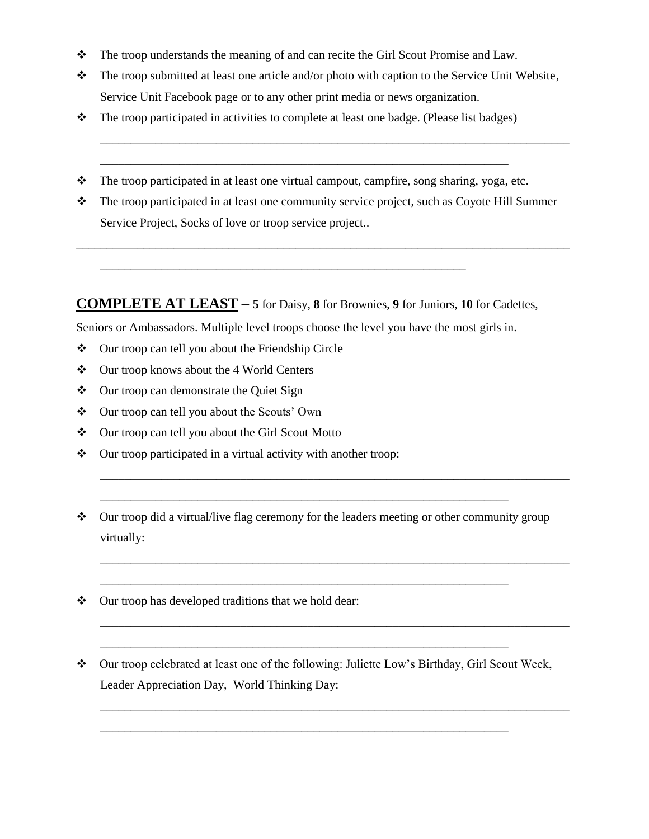- $\div$  The troop understands the meaning of and can recite the Girl Scout Promise and Law.
- \* The troop submitted at least one article and/or photo with caption to the Service Unit Website, Service Unit Facebook page or to any other print media or news organization.

\_\_\_\_\_\_\_\_\_\_\_\_\_\_\_\_\_\_\_\_\_\_\_\_\_\_\_\_\_\_\_\_\_\_\_\_\_\_\_\_\_\_\_\_\_\_\_\_\_\_\_\_\_\_\_\_\_\_\_\_\_\_\_\_\_\_\_\_\_\_\_\_\_\_\_\_\_

- $\bullet$  The troop participated in activities to complete at least one badge. (Please list badges)
- \* The troop participated in at least one virtual campout, campfire, song sharing, yoga, etc.

\_\_\_\_\_\_\_\_\_\_\_\_\_\_\_\_\_\_\_\_\_\_\_\_\_\_\_\_\_\_\_\_\_\_\_\_\_\_\_\_\_\_\_\_\_\_\_\_\_\_\_\_\_\_\_\_\_\_\_\_\_\_\_\_\_\_\_

\* The troop participated in at least one community service project, such as Coyote Hill Summer Service Project, Socks of love or troop service project..

\_\_\_\_\_\_\_\_\_\_\_\_\_\_\_\_\_\_\_\_\_\_\_\_\_\_\_\_\_\_\_\_\_\_\_\_\_\_\_\_\_\_\_\_\_\_\_\_\_\_\_\_\_\_\_\_\_\_\_\_\_\_\_\_\_\_\_\_\_\_\_\_\_\_\_\_\_\_\_\_\_

**COMPLETE AT LEAST – 5** for Daisy, **8** for Brownies, **9** for Juniors, **10** for Cadettes,

Seniors or Ambassadors. Multiple level troops choose the level you have the most girls in.

\_\_\_\_\_\_\_\_\_\_\_\_\_\_\_\_\_\_\_\_\_\_\_\_\_\_\_\_\_\_\_\_\_\_\_\_\_\_\_\_\_\_\_\_\_\_\_\_\_\_\_\_\_\_\_\_\_\_\_\_

- Our troop can tell you about the Friendship Circle
- Our troop knows about the 4 World Centers
- ❖ Our troop can demonstrate the Quiet Sign
- Our troop can tell you about the Scouts' Own
- Our troop can tell you about the Girl Scout Motto
- Our troop participated in a virtual activity with another troop:
- Our troop did a virtual/live flag ceremony for the leaders meeting or other community group virtually:

\_\_\_\_\_\_\_\_\_\_\_\_\_\_\_\_\_\_\_\_\_\_\_\_\_\_\_\_\_\_\_\_\_\_\_\_\_\_\_\_\_\_\_\_\_\_\_\_\_\_\_\_\_\_\_\_\_\_\_\_\_\_\_\_\_\_\_

\_\_\_\_\_\_\_\_\_\_\_\_\_\_\_\_\_\_\_\_\_\_\_\_\_\_\_\_\_\_\_\_\_\_\_\_\_\_\_\_\_\_\_\_\_\_\_\_\_\_\_\_\_\_\_\_\_\_\_\_\_\_\_\_\_\_\_

\_\_\_\_\_\_\_\_\_\_\_\_\_\_\_\_\_\_\_\_\_\_\_\_\_\_\_\_\_\_\_\_\_\_\_\_\_\_\_\_\_\_\_\_\_\_\_\_\_\_\_\_\_\_\_\_\_\_\_\_\_\_\_\_\_\_\_

\_\_\_\_\_\_\_\_\_\_\_\_\_\_\_\_\_\_\_\_\_\_\_\_\_\_\_\_\_\_\_\_\_\_\_\_\_\_\_\_\_\_\_\_\_\_\_\_\_\_\_\_\_\_\_\_\_\_\_\_\_\_\_\_\_\_\_

\_\_\_\_\_\_\_\_\_\_\_\_\_\_\_\_\_\_\_\_\_\_\_\_\_\_\_\_\_\_\_\_\_\_\_\_\_\_\_\_\_\_\_\_\_\_\_\_\_\_\_\_\_\_\_\_\_\_\_\_\_\_\_\_\_\_\_\_\_\_\_\_\_\_\_\_\_

\_\_\_\_\_\_\_\_\_\_\_\_\_\_\_\_\_\_\_\_\_\_\_\_\_\_\_\_\_\_\_\_\_\_\_\_\_\_\_\_\_\_\_\_\_\_\_\_\_\_\_\_\_\_\_\_\_\_\_\_\_\_\_\_\_\_\_\_\_\_\_\_\_\_\_\_\_

\_\_\_\_\_\_\_\_\_\_\_\_\_\_\_\_\_\_\_\_\_\_\_\_\_\_\_\_\_\_\_\_\_\_\_\_\_\_\_\_\_\_\_\_\_\_\_\_\_\_\_\_\_\_\_\_\_\_\_\_\_\_\_\_\_\_\_\_\_\_\_\_\_\_\_\_\_

\_\_\_\_\_\_\_\_\_\_\_\_\_\_\_\_\_\_\_\_\_\_\_\_\_\_\_\_\_\_\_\_\_\_\_\_\_\_\_\_\_\_\_\_\_\_\_\_\_\_\_\_\_\_\_\_\_\_\_\_\_\_\_\_\_\_\_\_\_\_\_\_\_\_\_\_\_

- $\triangle$  Our troop has developed traditions that we hold dear:
- Our troop celebrated at least one of the following: Juliette Low's Birthday, Girl Scout Week, Leader Appreciation Day, World Thinking Day: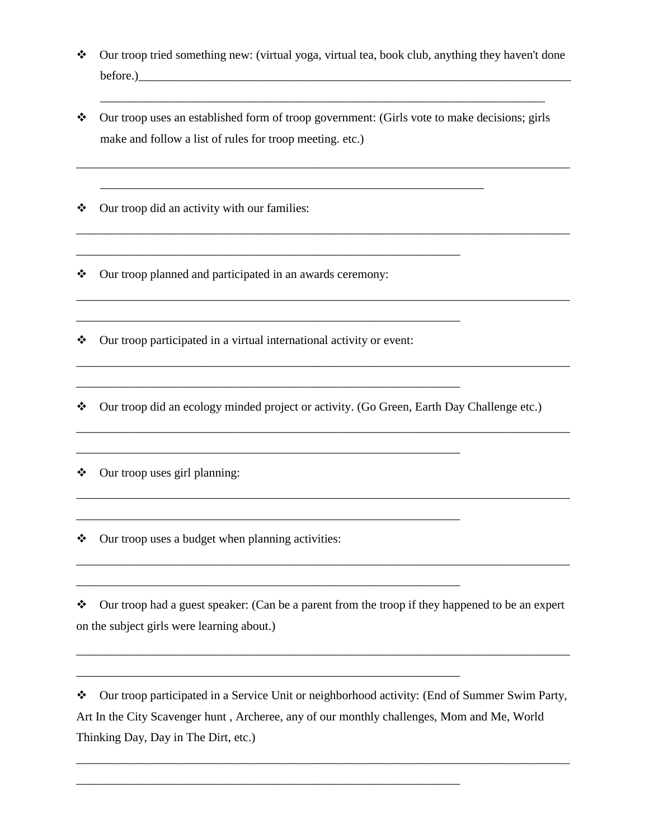Our troop tried something new: (virtual yoga, virtual tea, book club, anything they haven't done before.)

\_\_\_\_\_\_\_\_\_\_\_\_\_\_\_\_\_\_\_\_\_\_\_\_\_\_\_\_\_\_\_\_\_\_\_\_\_\_\_\_\_\_\_\_\_\_\_\_\_\_\_\_\_\_\_\_\_\_\_\_\_\_\_\_\_\_\_\_\_\_\_\_\_

\_\_\_\_\_\_\_\_\_\_\_\_\_\_\_\_\_\_\_\_\_\_\_\_\_\_\_\_\_\_\_\_\_\_\_\_\_\_\_\_\_\_\_\_\_\_\_\_\_\_\_\_\_\_\_\_\_\_\_\_\_\_\_\_\_\_\_\_\_\_\_\_\_\_\_\_\_\_\_\_\_

\_\_\_\_\_\_\_\_\_\_\_\_\_\_\_\_\_\_\_\_\_\_\_\_\_\_\_\_\_\_\_\_\_\_\_\_\_\_\_\_\_\_\_\_\_\_\_\_\_\_\_\_\_\_\_\_\_\_\_\_\_\_\_\_\_\_\_\_\_\_\_\_\_\_\_\_\_\_\_\_\_

\_\_\_\_\_\_\_\_\_\_\_\_\_\_\_\_\_\_\_\_\_\_\_\_\_\_\_\_\_\_\_\_\_\_\_\_\_\_\_\_\_\_\_\_\_\_\_\_\_\_\_\_\_\_\_\_\_\_\_\_\_\_\_\_\_\_\_\_\_\_\_\_\_\_\_\_\_\_\_\_\_

\_\_\_\_\_\_\_\_\_\_\_\_\_\_\_\_\_\_\_\_\_\_\_\_\_\_\_\_\_\_\_\_\_\_\_\_\_\_\_\_\_\_\_\_\_\_\_\_\_\_\_\_\_\_\_\_\_\_\_\_\_\_\_\_\_\_\_\_\_\_\_\_\_\_\_\_\_\_\_\_\_

\_\_\_\_\_\_\_\_\_\_\_\_\_\_\_\_\_\_\_\_\_\_\_\_\_\_\_\_\_\_\_\_\_\_\_\_\_\_\_\_\_\_\_\_\_\_\_\_\_\_\_\_\_\_\_\_\_\_\_\_\_\_\_\_\_\_\_\_\_\_\_\_\_\_\_\_\_\_\_\_\_

\_\_\_\_\_\_\_\_\_\_\_\_\_\_\_\_\_\_\_\_\_\_\_\_\_\_\_\_\_\_\_\_\_\_\_\_\_\_\_\_\_\_\_\_\_\_\_\_\_\_\_\_\_\_\_\_\_\_\_\_\_\_\_\_\_\_\_\_\_\_\_\_\_\_\_\_\_\_\_\_\_

 $\bullet$  Our troop uses an established form of troop government: (Girls vote to make decisions; girls make and follow a list of rules for troop meeting. etc.)

\_\_\_\_\_\_\_\_\_\_\_\_\_\_\_\_\_\_\_\_\_\_\_\_\_\_\_\_\_\_\_\_\_\_\_\_\_\_\_\_\_\_\_\_\_\_\_\_\_\_\_\_\_\_\_\_\_\_\_\_\_\_\_

\_\_\_\_\_\_\_\_\_\_\_\_\_\_\_\_\_\_\_\_\_\_\_\_\_\_\_\_\_\_\_\_\_\_\_\_\_\_\_\_\_\_\_\_\_\_\_\_\_\_\_\_\_\_\_\_\_\_\_\_\_\_\_

\_\_\_\_\_\_\_\_\_\_\_\_\_\_\_\_\_\_\_\_\_\_\_\_\_\_\_\_\_\_\_\_\_\_\_\_\_\_\_\_\_\_\_\_\_\_\_\_\_\_\_\_\_\_\_\_\_\_\_\_\_\_\_

\_\_\_\_\_\_\_\_\_\_\_\_\_\_\_\_\_\_\_\_\_\_\_\_\_\_\_\_\_\_\_\_\_\_\_\_\_\_\_\_\_\_\_\_\_\_\_\_\_\_\_\_\_\_\_\_\_\_\_\_\_\_\_

\_\_\_\_\_\_\_\_\_\_\_\_\_\_\_\_\_\_\_\_\_\_\_\_\_\_\_\_\_\_\_\_\_\_\_\_\_\_\_\_\_\_\_\_\_\_\_\_\_\_\_\_\_\_\_\_\_\_\_\_\_\_\_

\_\_\_\_\_\_\_\_\_\_\_\_\_\_\_\_\_\_\_\_\_\_\_\_\_\_\_\_\_\_\_\_\_\_\_\_\_\_\_\_\_\_\_\_\_\_\_\_\_\_\_\_\_\_\_\_\_\_\_\_\_\_\_

\_\_\_\_\_\_\_\_\_\_\_\_\_\_\_\_\_\_\_\_\_\_\_\_\_\_\_\_\_\_\_\_\_\_\_\_\_\_\_\_\_\_\_\_\_\_\_\_\_\_\_\_\_\_\_\_\_\_\_\_\_\_\_

\_\_\_\_\_\_\_\_\_\_\_\_\_\_\_\_\_\_\_\_\_\_\_\_\_\_\_\_\_\_\_\_\_\_\_\_\_\_\_\_\_\_\_\_\_\_\_\_\_\_\_\_\_\_\_\_\_\_\_\_\_\_\_

\_\_\_\_\_\_\_\_\_\_\_\_\_\_\_\_\_\_\_\_\_\_\_\_\_\_\_\_\_\_\_\_\_\_\_\_\_\_\_\_\_\_\_\_\_\_\_\_\_\_\_\_\_\_\_\_\_\_\_\_\_\_\_

Our troop did an activity with our families:

Our troop planned and participated in an awards ceremony:

 $\triangleleft$  Our troop participated in a virtual international activity or event:

Our troop did an ecology minded project or activity. (Go Green, Earth Day Challenge etc.)

 $\triangleleft$  Our troop uses girl planning:

 $\triangle$  Our troop uses a budget when planning activities:

Our troop had a guest speaker: (Can be a parent from the troop if they happened to be an expert on the subject girls were learning about.)

\_\_\_\_\_\_\_\_\_\_\_\_\_\_\_\_\_\_\_\_\_\_\_\_\_\_\_\_\_\_\_\_\_\_\_\_\_\_\_\_\_\_\_\_\_\_\_\_\_\_\_\_\_\_\_\_\_\_\_\_\_\_\_\_\_\_\_\_\_\_\_\_\_\_\_\_\_\_\_\_\_

\_\_\_\_\_\_\_\_\_\_\_\_\_\_\_\_\_\_\_\_\_\_\_\_\_\_\_\_\_\_\_\_\_\_\_\_\_\_\_\_\_\_\_\_\_\_\_\_\_\_\_\_\_\_\_\_\_\_\_\_\_\_\_\_\_\_\_\_\_\_\_\_\_\_\_\_\_\_\_\_\_

Our troop participated in a Service Unit or neighborhood activity: (End of Summer Swim Party, Art In the City Scavenger hunt , Archeree, any of our monthly challenges, Mom and Me, World Thinking Day, Day in The Dirt, etc.)

\_\_\_\_\_\_\_\_\_\_\_\_\_\_\_\_\_\_\_\_\_\_\_\_\_\_\_\_\_\_\_\_\_\_\_\_\_\_\_\_\_\_\_\_\_\_\_\_\_\_\_\_\_\_\_\_\_\_\_\_\_\_\_\_\_\_\_\_\_\_\_\_\_\_\_\_\_\_\_\_\_